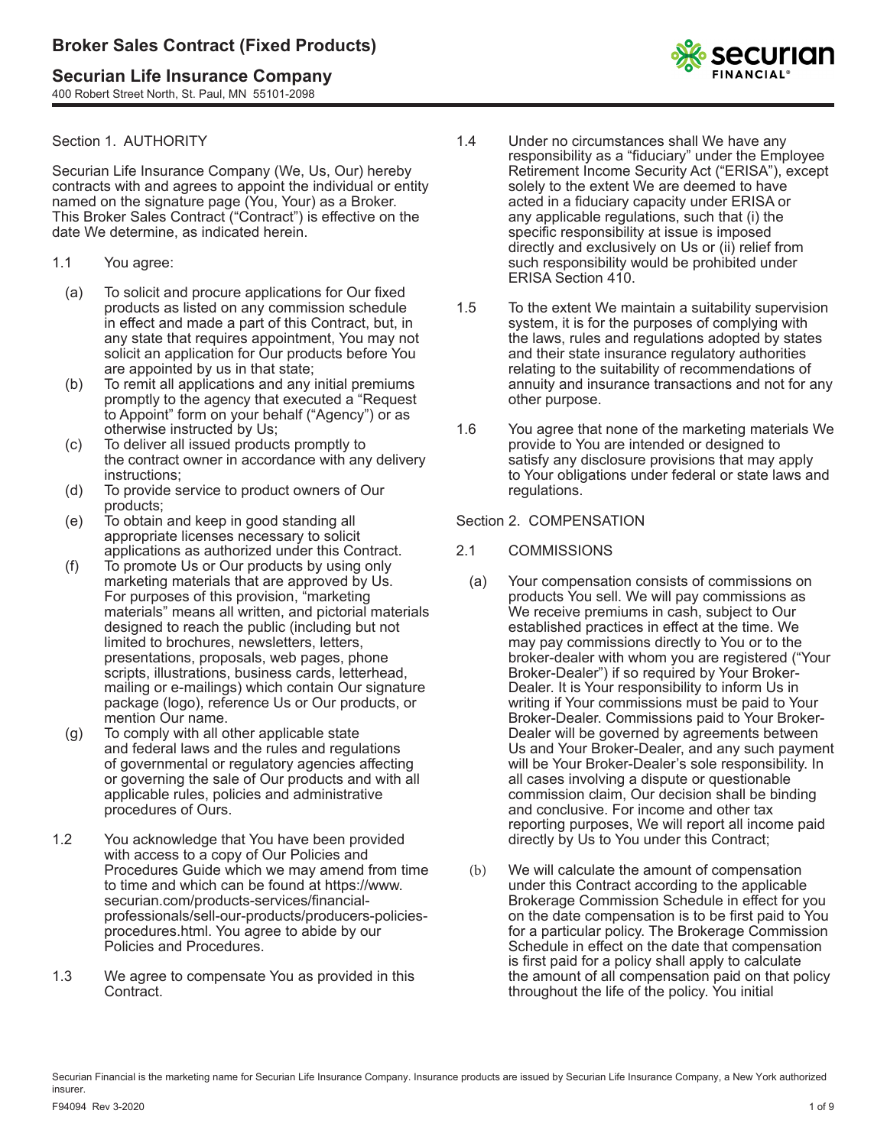# **Securian Life Insurance Company**

400 Robert Street North, St. Paul, MN 55101-2098

## Section 1. AUTHORITY

Securian Life Insurance Company (We, Us, Our) hereby contracts with and agrees to appoint the individual or entity named on the signature page (You, Your) as a Broker. This Broker Sales Contract ("Contract") is effective on the date We determine, as indicated herein.

- 1.1 You agree:
	- (a) To solicit and procure applications for Our fixed products as listed on any commission schedule in effect and made a part of this Contract, but, in any state that requires appointment, You may not solicit an application for Our products before You are appointed by us in that state;
	- (b) To remit all applications and any initial premiums promptly to the agency that executed a "Request to Appoint" form on your behalf ("Agency") or as otherwise instructed by Us;
	- (c) To deliver all issued products promptly to the contract owner in accordance with any delivery instructions;
	- (d) To provide service to product owners of Our products;
	- (e) To obtain and keep in good standing all appropriate licenses necessary to solicit applications as authorized under this Contract.
	- (f) To promote Us or Our products by using only marketing materials that are approved by Us. For purposes of this provision, "marketing materials" means all written, and pictorial materials designed to reach the public (including but not limited to brochures, newsletters, letters, presentations, proposals, web pages, phone scripts, illustrations, business cards, letterhead, mailing or e-mailings) which contain Our signature package (logo), reference Us or Our products, or mention Our name.
	- (g) To comply with all other applicable state and federal laws and the rules and regulations of governmental or regulatory agencies affecting or governing the sale of Our products and with all applicable rules, policies and administrative procedures of Ours.
- 1.2 You acknowledge that You have been provided with access to a copy of Our Policies and Procedures Guide which we may amend from time to time and which can be found at https://www. securian.com/products-services/financialprofessionals/sell-our-products/producers-policiesprocedures.html. You agree to abide by our Policies and Procedures.
- 1.3 We agree to compensate You as provided in this Contract.
- 1.4 Under no circumstances shall We have any responsibility as a "fiduciary" under the Employee Retirement Income Security Act ("ERISA"), except solely to the extent We are deemed to have acted in a fiduciary capacity under ERISA or any applicable regulations, such that (i) the specific responsibility at issue is imposed directly and exclusively on Us or (ii) relief from such responsibility would be prohibited under ERISA Section 410.
- 1.5 To the extent We maintain a suitability supervision system, it is for the purposes of complying with the laws, rules and regulations adopted by states and their state insurance regulatory authorities relating to the suitability of recommendations of annuity and insurance transactions and not for any other purpose.
- 1.6 You agree that none of the marketing materials We provide to You are intended or designed to satisfy any disclosure provisions that may apply to Your obligations under federal or state laws and regulations.

## Section 2. COMPENSATION

## 2.1 COMMISSIONS

- (a) Your compensation consists of commissions on products You sell. We will pay commissions as We receive premiums in cash, subject to Our established practices in effect at the time. We may pay commissions directly to You or to the broker-dealer with whom you are registered ("Your Broker-Dealer") if so required by Your Broker-Dealer. It is Your responsibility to inform Us in writing if Your commissions must be paid to Your Broker-Dealer. Commissions paid to Your Broker-Dealer will be governed by agreements between Us and Your Broker-Dealer, and any such payment will be Your Broker-Dealer's sole responsibility. In all cases involving a dispute or questionable commission claim, Our decision shall be binding and conclusive. For income and other tax reporting purposes, We will report all income paid directly by Us to You under this Contract;
- (b) We will calculate the amount of compensation under this Contract according to the applicable Brokerage Commission Schedule in effect for you on the date compensation is to be first paid to You for a particular policy. The Brokerage Commission Schedule in effect on the date that compensation is first paid for a policy shall apply to calculate the amount of all compensation paid on that policy throughout the life of the policy. You initial

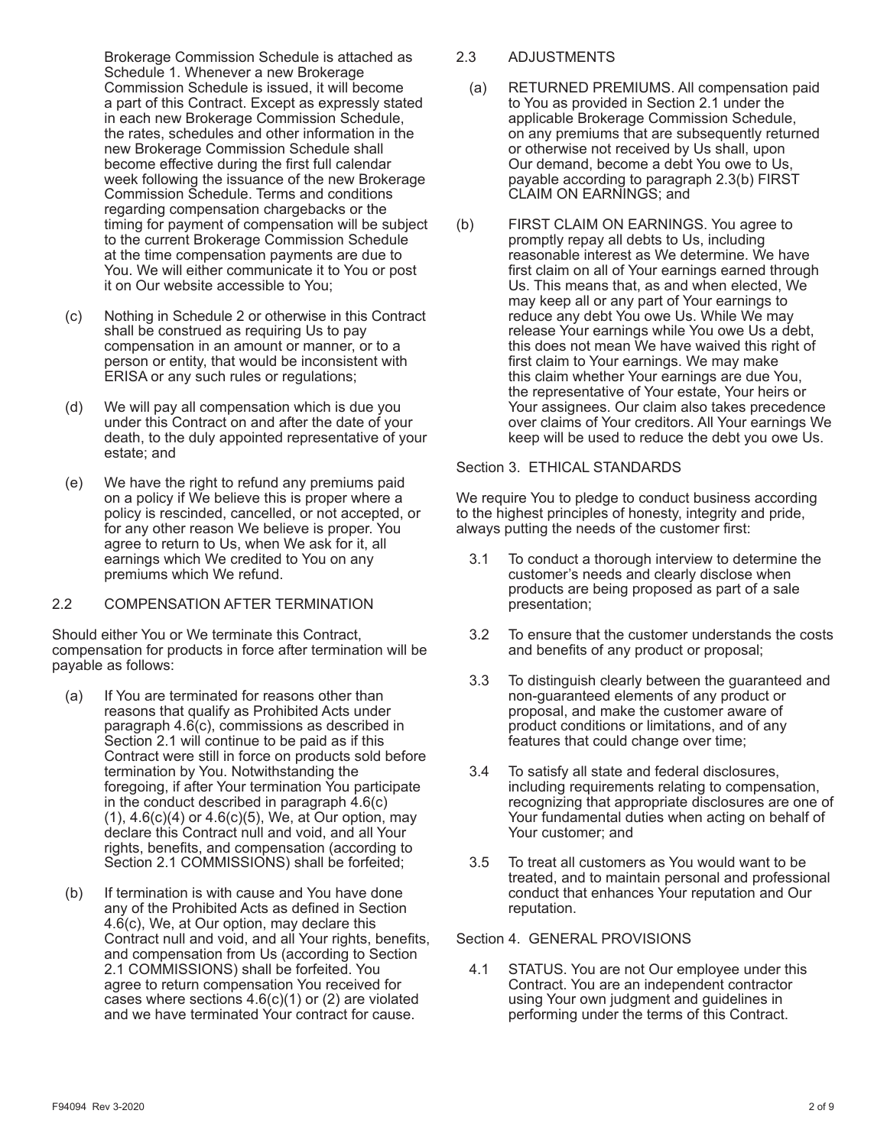Brokerage Commission Schedule is attached as Schedule 1. Whenever a new Brokerage Commission Schedule is issued, it will become a part of this Contract. Except as expressly stated in each new Brokerage Commission Schedule, the rates, schedules and other information in the new Brokerage Commission Schedule shall become effective during the first full calendar week following the issuance of the new Brokerage Commission Schedule. Terms and conditions regarding compensation chargebacks or the timing for payment of compensation will be subject to the current Brokerage Commission Schedule at the time compensation payments are due to You. We will either communicate it to You or post it on Our website accessible to You;

- (c) Nothing in Schedule 2 or otherwise in this Contract shall be construed as requiring Us to pay compensation in an amount or manner, or to a person or entity, that would be inconsistent with ERISA or any such rules or regulations;
- (d) We will pay all compensation which is due you under this Contract on and after the date of your death, to the duly appointed representative of your estate; and
- (e) We have the right to refund any premiums paid on a policy if We believe this is proper where a policy is rescinded, cancelled, or not accepted, or for any other reason We believe is proper. You agree to return to Us, when We ask for it, all earnings which We credited to You on any premiums which We refund.

## 2.2 COMPENSATION AFTER TERMINATION

Should either You or We terminate this Contract, compensation for products in force after termination will be payable as follows:

- (a) If You are terminated for reasons other than reasons that qualify as Prohibited Acts under paragraph 4.6(c), commissions as described in Section 2.1 will continue to be paid as if this Contract were still in force on products sold before termination by You. Notwithstanding the foregoing, if after Your termination You participate in the conduct described in paragraph 4.6(c)  $(1), 4.6(c)(4)$  or  $4.6(c)(5)$ , We, at Our option, may declare this Contract null and void, and all Your rights, benefits, and compensation (according to Section 2.1 COMMISSIONS) shall be forfeited;
- (b) If termination is with cause and You have done any of the Prohibited Acts as defined in Section 4.6(c), We, at Our option, may declare this Contract null and void, and all Your rights, benefits, and compensation from Us (according to Section 2.1 COMMISSIONS) shall be forfeited. You agree to return compensation You received for cases where sections  $4.6(c)(1)$  or (2) are violated and we have terminated Your contract for cause.

## 2.3 ADJUSTMENTS

- (a) RETURNED PREMIUMS. All compensation paid to You as provided in Section 2.1 under the applicable Brokerage Commission Schedule, on any premiums that are subsequently returned or otherwise not received by Us shall, upon Our demand, become a debt You owe to Us, payable according to paragraph 2.3(b) FIRST CLAIM ON EARNINGS; and
- (b) FIRST CLAIM ON EARNINGS. You agree to promptly repay all debts to Us, including reasonable interest as We determine. We have first claim on all of Your earnings earned through Us. This means that, as and when elected, We may keep all or any part of Your earnings to reduce any debt You owe Us. While We may release Your earnings while You owe Us a debt, this does not mean We have waived this right of first claim to Your earnings. We may make this claim whether Your earnings are due You, the representative of Your estate, Your heirs or Your assignees. Our claim also takes precedence over claims of Your creditors. All Your earnings We keep will be used to reduce the debt you owe Us.

#### Section 3. ETHICAL STANDARDS

We require You to pledge to conduct business according to the highest principles of honesty, integrity and pride, always putting the needs of the customer first:

- 3.1 To conduct a thorough interview to determine the customer's needs and clearly disclose when products are being proposed as part of a sale presentation;
- 3.2 To ensure that the customer understands the costs and benefits of any product or proposal;
- 3.3 To distinguish clearly between the guaranteed and non-guaranteed elements of any product or proposal, and make the customer aware of product conditions or limitations, and of any features that could change over time;
- 3.4 To satisfy all state and federal disclosures, including requirements relating to compensation, recognizing that appropriate disclosures are one of Your fundamental duties when acting on behalf of Your customer; and
- 3.5 To treat all customers as You would want to be treated, and to maintain personal and professional conduct that enhances Your reputation and Our reputation.

#### Section 4. GENERAL PROVISIONS

4.1 STATUS. You are not Our employee under this Contract. You are an independent contractor using Your own judgment and guidelines in performing under the terms of this Contract.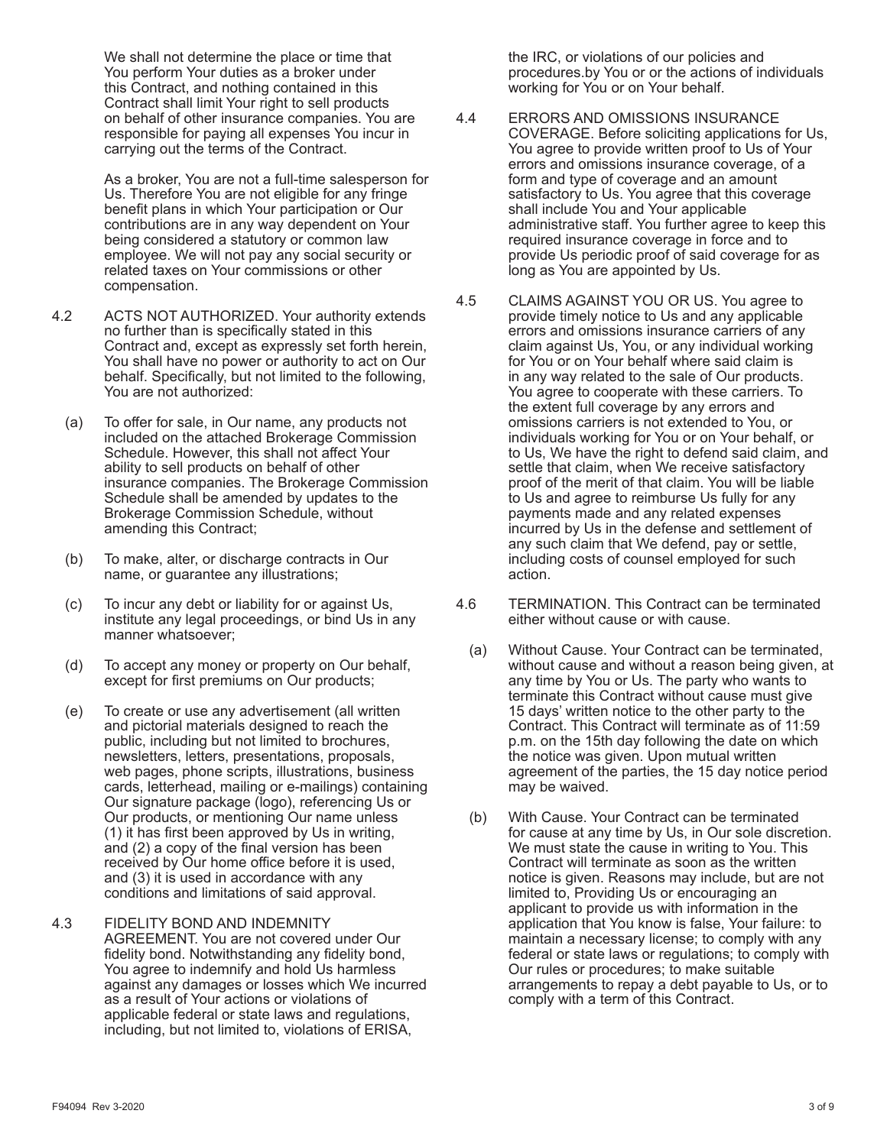We shall not determine the place or time that You perform Your duties as a broker under this Contract, and nothing contained in this Contract shall limit Your right to sell products on behalf of other insurance companies. You are responsible for paying all expenses You incur in carrying out the terms of the Contract.

As a broker, You are not a full-time salesperson for Us. Therefore You are not eligible for any fringe benefit plans in which Your participation or Our contributions are in any way dependent on Your being considered a statutory or common law employee. We will not pay any social security or related taxes on Your commissions or other compensation.

- 4.2 ACTS NOT AUTHORIZED. Your authority extends no further than is specifically stated in this Contract and, except as expressly set forth herein, You shall have no power or authority to act on Our behalf. Specifically, but not limited to the following, You are not authorized:
	- (a) To offer for sale, in Our name, any products not included on the attached Brokerage Commission Schedule. However, this shall not affect Your ability to sell products on behalf of other insurance companies. The Brokerage Commission Schedule shall be amended by updates to the Brokerage Commission Schedule, without amending this Contract;
	- (b) To make, alter, or discharge contracts in Our name, or guarantee any illustrations;
	- (c) To incur any debt or liability for or against Us, institute any legal proceedings, or bind Us in any manner whatsoever;
	- (d) To accept any money or property on Our behalf, except for first premiums on Our products;
	- (e) To create or use any advertisement (all written and pictorial materials designed to reach the public, including but not limited to brochures, newsletters, letters, presentations, proposals, web pages, phone scripts, illustrations, business cards, letterhead, mailing or e-mailings) containing Our signature package (logo), referencing Us or Our products, or mentioning Our name unless (1) it has first been approved by Us in writing, and (2) a copy of the final version has been received by Our home office before it is used, and (3) it is used in accordance with any conditions and limitations of said approval.
- 4.3 FIDELITY BOND AND INDEMNITY AGREEMENT. You are not covered under Our fidelity bond. Notwithstanding any fidelity bond, You agree to indemnify and hold Us harmless against any damages or losses which We incurred as a result of Your actions or violations of applicable federal or state laws and regulations, including, but not limited to, violations of ERISA,

 the IRC, or violations of our policies and procedures.by You or or the actions of individuals working for You or on Your behalf.

- 4.4 ERRORS AND OMISSIONS INSURANCE COVERAGE. Before soliciting applications for Us, You agree to provide written proof to Us of Your errors and omissions insurance coverage, of a form and type of coverage and an amount satisfactory to Us. You agree that this coverage shall include You and Your applicable administrative staff. You further agree to keep this required insurance coverage in force and to provide Us periodic proof of said coverage for as long as You are appointed by Us.
- 4.5 CLAIMS AGAINST YOU OR US. You agree to provide timely notice to Us and any applicable errors and omissions insurance carriers of any claim against Us, You, or any individual working for You or on Your behalf where said claim is in any way related to the sale of Our products. You agree to cooperate with these carriers. To the extent full coverage by any errors and omissions carriers is not extended to You, or individuals working for You or on Your behalf, or to Us, We have the right to defend said claim, and settle that claim, when We receive satisfactory proof of the merit of that claim. You will be liable to Us and agree to reimburse Us fully for any payments made and any related expenses incurred by Us in the defense and settlement of any such claim that We defend, pay or settle, including costs of counsel employed for such action.
- 4.6 TERMINATION. This Contract can be terminated either without cause or with cause.
	- (a) Without Cause. Your Contract can be terminated, without cause and without a reason being given, at any time by You or Us. The party who wants to terminate this Contract without cause must give 15 days' written notice to the other party to the Contract. This Contract will terminate as of 11:59 p.m. on the 15th day following the date on which the notice was given. Upon mutual written agreement of the parties, the 15 day notice period may be waived.
	- (b) With Cause. Your Contract can be terminated for cause at any time by Us, in Our sole discretion. We must state the cause in writing to You. This Contract will terminate as soon as the written notice is given. Reasons may include, but are not limited to, Providing Us or encouraging an applicant to provide us with information in the application that You know is false, Your failure: to maintain a necessary license; to comply with any federal or state laws or regulations; to comply with Our rules or procedures; to make suitable arrangements to repay a debt payable to Us, or to comply with a term of this Contract.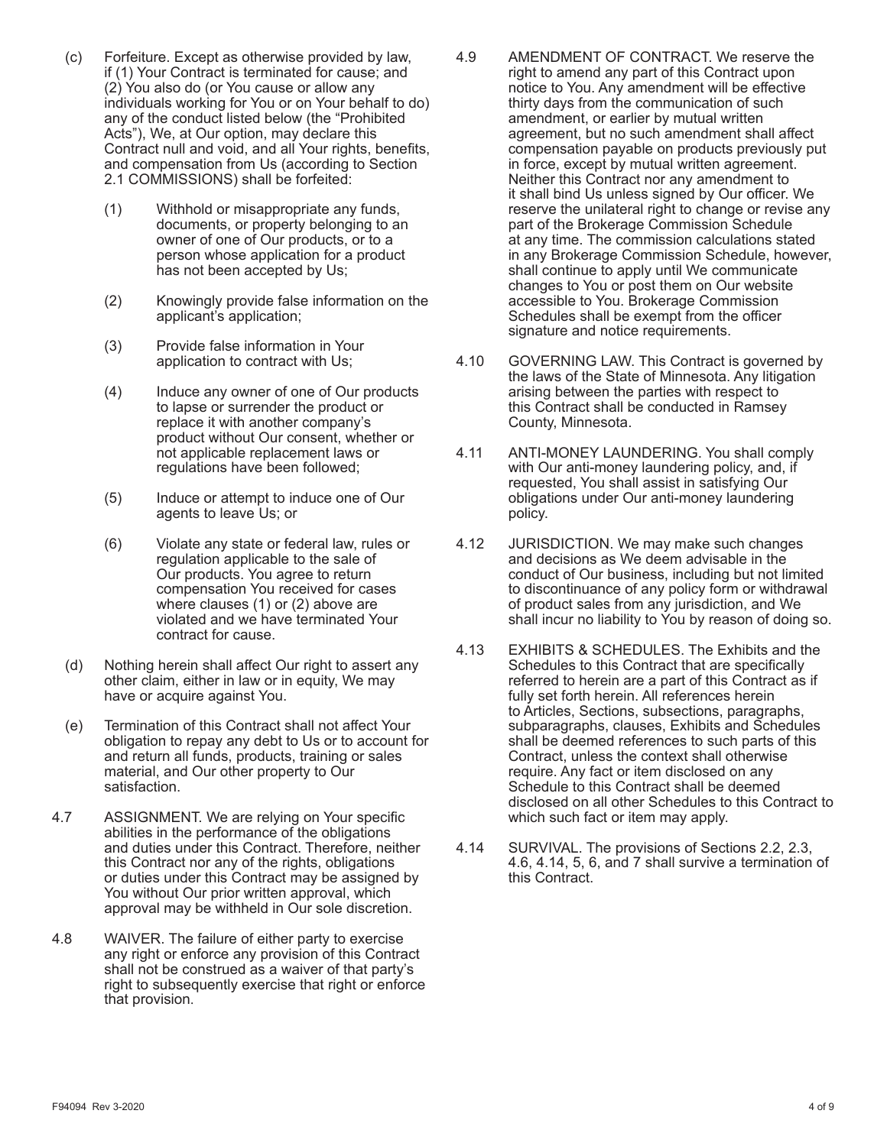- (c) Forfeiture. Except as otherwise provided by law, if (1) Your Contract is terminated for cause; and (2) You also do (or You cause or allow any individuals working for You or on Your behalf to do) any of the conduct listed below (the "Prohibited Acts"), We, at Our option, may declare this Contract null and void, and all Your rights, benefits, and compensation from Us (according to Section 2.1 COMMISSIONS) shall be forfeited:
	- (1) Withhold or misappropriate any funds, documents, or property belonging to an owner of one of Our products, or to a person whose application for a product has not been accepted by Us;
	- (2) Knowingly provide false information on the applicant's application;
	- (3) Provide false information in Your application to contract with Us;
	- (4) Induce any owner of one of Our products to lapse or surrender the product or replace it with another company's product without Our consent, whether or not applicable replacement laws or regulations have been followed;
	- (5) Induce or attempt to induce one of Our agents to leave Us; or
	- (6) Violate any state or federal law, rules or regulation applicable to the sale of Our products. You agree to return compensation You received for cases where clauses (1) or (2) above are violated and we have terminated Your contract for cause.
- (d) Nothing herein shall affect Our right to assert any other claim, either in law or in equity, We may have or acquire against You.
- (e) Termination of this Contract shall not affect Your obligation to repay any debt to Us or to account for and return all funds, products, training or sales material, and Our other property to Our satisfaction.
- 4.7 ASSIGNMENT. We are relying on Your specific abilities in the performance of the obligations and duties under this Contract. Therefore, neither this Contract nor any of the rights, obligations or duties under this Contract may be assigned by You without Our prior written approval, which approval may be withheld in Our sole discretion.
- 4.8 WAIVER. The failure of either party to exercise any right or enforce any provision of this Contract shall not be construed as a waiver of that party's right to subsequently exercise that right or enforce that provision.
- 4.9 AMENDMENT OF CONTRACT. We reserve the right to amend any part of this Contract upon notice to You. Any amendment will be effective thirty days from the communication of such amendment, or earlier by mutual written agreement, but no such amendment shall affect compensation payable on products previously put in force, except by mutual written agreement. Neither this Contract nor any amendment to it shall bind Us unless signed by Our officer. We reserve the unilateral right to change or revise any part of the Brokerage Commission Schedule at any time. The commission calculations stated in any Brokerage Commission Schedule, however, shall continue to apply until We communicate changes to You or post them on Our website accessible to You. Brokerage Commission Schedules shall be exempt from the officer signature and notice requirements.
- 4.10 GOVERNING LAW. This Contract is governed by the laws of the State of Minnesota. Any litigation arising between the parties with respect to this Contract shall be conducted in Ramsey County, Minnesota.
- 4.11 ANTI-MONEY LAUNDERING. You shall comply with Our anti-money laundering policy, and, if requested, You shall assist in satisfying Our obligations under Our anti-money laundering policy.
- 4.12 JURISDICTION. We may make such changes and decisions as We deem advisable in the conduct of Our business, including but not limited to discontinuance of any policy form or withdrawal of product sales from any jurisdiction, and We shall incur no liability to You by reason of doing so.
- 4.13 EXHIBITS & SCHEDULES. The Exhibits and the Schedules to this Contract that are specifically referred to herein are a part of this Contract as if fully set forth herein. All references herein to Articles, Sections, subsections, paragraphs, subparagraphs, clauses, Exhibits and Schedules shall be deemed references to such parts of this Contract, unless the context shall otherwise require. Any fact or item disclosed on any Schedule to this Contract shall be deemed disclosed on all other Schedules to this Contract to which such fact or item may apply.
- 4.14 SURVIVAL. The provisions of Sections 2.2, 2.3, 4.6, 4.14, 5, 6, and 7 shall survive a termination of this Contract.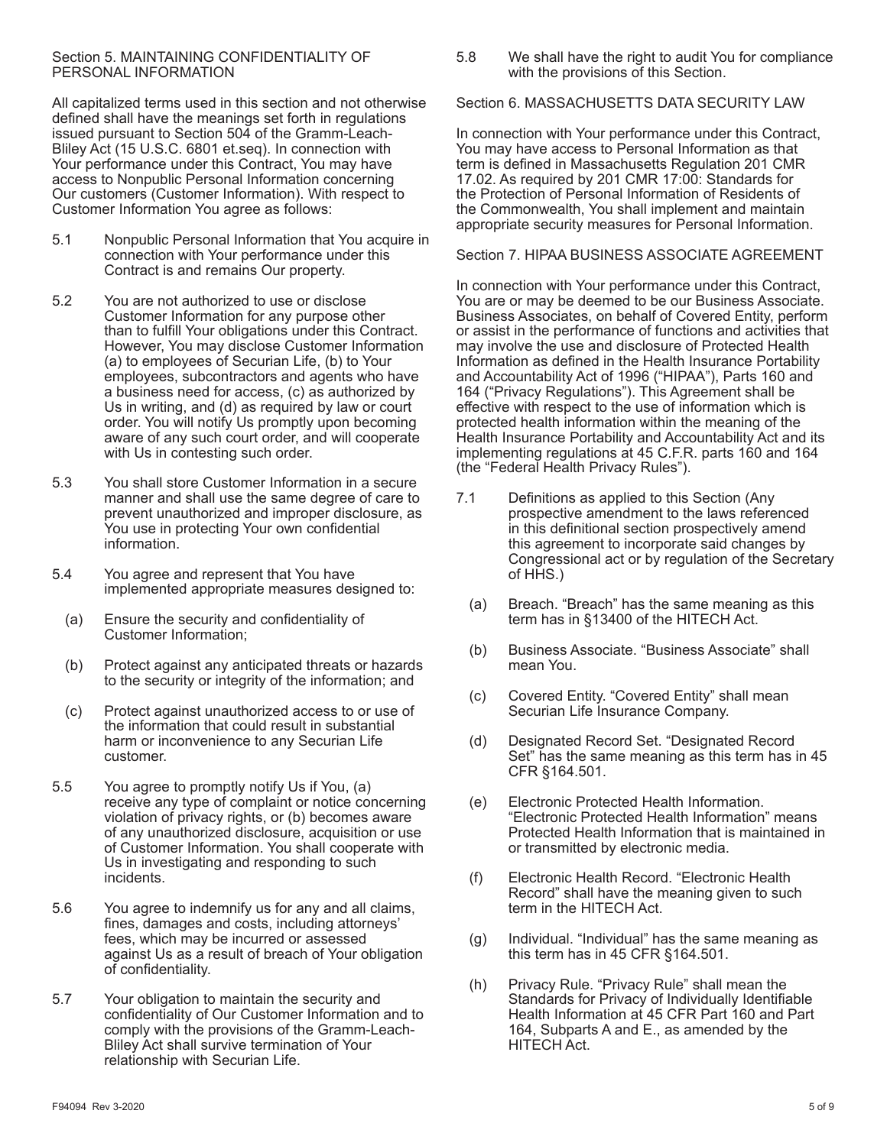#### Section 5. MAINTAINING CONFIDENTIALITY OF PERSONAL INFORMATION

All capitalized terms used in this section and not otherwise defined shall have the meanings set forth in regulations issued pursuant to Section 504 of the Gramm-Leach-Bliley Act (15 U.S.C. 6801 et.seq). In connection with Your performance under this Contract, You may have access to Nonpublic Personal Information concerning Our customers (Customer Information). With respect to Customer Information You agree as follows:

- 5.1 Nonpublic Personal Information that You acquire in connection with Your performance under this Contract is and remains Our property.
- 5.2 You are not authorized to use or disclose Customer Information for any purpose other than to fulfill Your obligations under this Contract. However, You may disclose Customer Information (a) to employees of Securian Life, (b) to Your employees, subcontractors and agents who have a business need for access, (c) as authorized by Us in writing, and (d) as required by law or court order. You will notify Us promptly upon becoming aware of any such court order, and will cooperate with Us in contesting such order.
- 5.3 You shall store Customer Information in a secure manner and shall use the same degree of care to prevent unauthorized and improper disclosure, as You use in protecting Your own confidential information.
- 5.4 You agree and represent that You have implemented appropriate measures designed to:
	- (a) Ensure the security and confidentiality of Customer Information;
	- (b) Protect against any anticipated threats or hazards to the security or integrity of the information; and
	- (c) Protect against unauthorized access to or use of the information that could result in substantial harm or inconvenience to any Securian Life customer.
- 5.5 You agree to promptly notify Us if You, (a) receive any type of complaint or notice concerning violation of privacy rights, or (b) becomes aware of any unauthorized disclosure, acquisition or use of Customer Information. You shall cooperate with Us in investigating and responding to such incidents.
- 5.6 You agree to indemnify us for any and all claims, fines, damages and costs, including attorneys' fees, which may be incurred or assessed against Us as a result of breach of Your obligation of confidentiality.
- 5.7 Your obligation to maintain the security and confidentiality of Our Customer Information and to comply with the provisions of the Gramm-Leach-Bliley Act shall survive termination of Your relationship with Securian Life.

5.8 We shall have the right to audit You for compliance with the provisions of this Section.

Section 6. MASSACHUSETTS DATA SECURITY LAW

In connection with Your performance under this Contract, You may have access to Personal Information as that term is defined in Massachusetts Regulation 201 CMR 17.02. As required by 201 CMR 17:00: Standards for the Protection of Personal Information of Residents of the Commonwealth, You shall implement and maintain appropriate security measures for Personal Information.

Section 7. HIPAA BUSINESS ASSOCIATE AGREEMENT

In connection with Your performance under this Contract, You are or may be deemed to be our Business Associate. Business Associates, on behalf of Covered Entity, perform or assist in the performance of functions and activities that may involve the use and disclosure of Protected Health Information as defined in the Health Insurance Portability and Accountability Act of 1996 ("HIPAA"), Parts 160 and 164 ("Privacy Regulations"). This Agreement shall be effective with respect to the use of information which is protected health information within the meaning of the Health Insurance Portability and Accountability Act and its implementing regulations at 45 C.F.R. parts 160 and 164 (the "Federal Health Privacy Rules").

- 7.1 Definitions as applied to this Section (Any prospective amendment to the laws referenced in this definitional section prospectively amend this agreement to incorporate said changes by Congressional act or by regulation of the Secretary of HHS.)
	- (a) Breach. "Breach" has the same meaning as this term has in §13400 of the HITECH Act.
	- (b) Business Associate. "Business Associate" shall mean You.
	- (c) Covered Entity. "Covered Entity" shall mean Securian Life Insurance Company.
	- (d) Designated Record Set. "Designated Record Set" has the same meaning as this term has in 45 CFR §164.501.
	- (e) Electronic Protected Health Information. "Electronic Protected Health Information" means Protected Health Information that is maintained in or transmitted by electronic media.
	- (f) Electronic Health Record. "Electronic Health Record" shall have the meaning given to such term in the HITECH Act.
	- (g) Individual. "Individual" has the same meaning as this term has in 45 CFR §164.501.
	- (h) Privacy Rule. "Privacy Rule" shall mean the Standards for Privacy of Individually Identifiable Health Information at 45 CFR Part 160 and Part 164, Subparts A and E., as amended by the HITECH Act.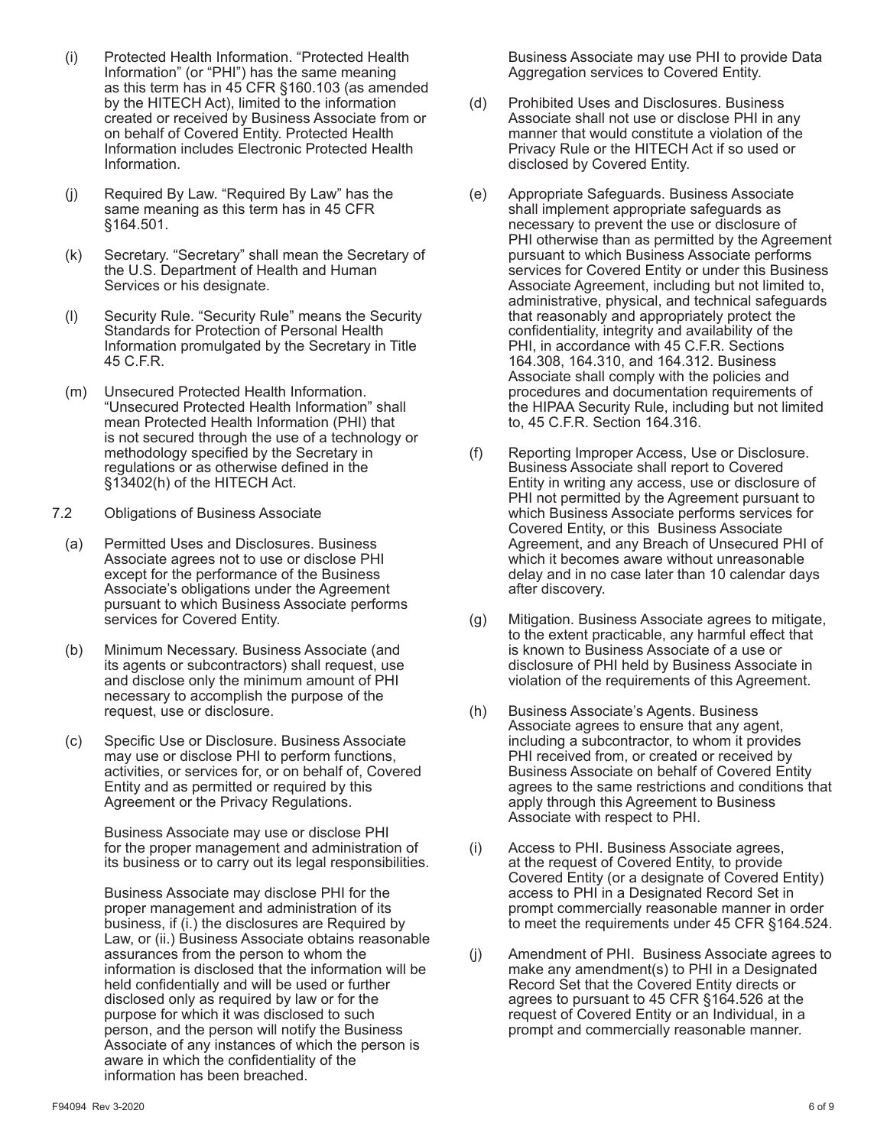- (i) Protected Health Information. "Protected Health Information" (or "PHI") has the same meaning as this term has in 45 CFR §160.103 (as amended by the HITECH Act), limited to the information created or received by Business Associate from or on behalf of Covered Entity. Protected Health Information includes Electronic Protected Health Information.
- (j) Required By Law. "Required By Law" has the same meaning as this term has in 45 CFR §164.501.
- (k) Secretary. "Secretary" shall mean the Secretary of the U.S. Department of Health and Human Services or his designate.
- (l) Security Rule. "Security Rule" means the Security Standards for Protection of Personal Health Information promulgated by the Secretary in Title 45 C.F.R.
- (m) Unsecured Protected Health Information. "Unsecured Protected Health Information" shall mean Protected Health Information (PHI) that is not secured through the use of a technology or methodology specified by the Secretary in regulations or as otherwise defined in the §13402(h) of the HITECH Act.
- 7.2 Obligations of Business Associate
	- (a) Permitted Uses and Disclosures. Business Associate agrees not to use or disclose PHI except for the performance of the Business Associate's obligations under the Agreement pursuant to which Business Associate performs services for Covered Entity.
	- (b) Minimum Necessary. Business Associate (and its agents or subcontractors) shall request, use and disclose only the minimum amount of PHI necessary to accomplish the purpose of the request, use or disclosure.
	- (c) Specific Use or Disclosure. Business Associate may use or disclose PHI to perform functions, activities, or services for, or on behalf of, Covered Entity and as permitted or required by this Agreement or the Privacy Regulations.

 Business Associate may use or disclose PHI for the proper management and administration of its business or to carry out its legal responsibilities.

 Business Associate may disclose PHI for the proper management and administration of its business, if (i.) the disclosures are Required by Law, or (ii.) Business Associate obtains reasonable assurances from the person to whom the information is disclosed that the information will be held confidentially and will be used or further disclosed only as required by law or for the purpose for which it was disclosed to such person, and the person will notify the Business Associate of any instances of which the person is aware in which the confidentiality of the information has been breached.

 Business Associate may use PHI to provide Data Aggregation services to Covered Entity.

- (d) Prohibited Uses and Disclosures. Business Associate shall not use or disclose PHI in any manner that would constitute a violation of the Privacy Rule or the HITECH Act if so used or disclosed by Covered Entity.
- (e) Appropriate Safeguards. Business Associate shall implement appropriate safeguards as necessary to prevent the use or disclosure of PHI otherwise than as permitted by the Agreement pursuant to which Business Associate performs services for Covered Entity or under this Business Associate Agreement, including but not limited to, administrative, physical, and technical safeguards that reasonably and appropriately protect the confidentiality, integrity and availability of the PHI, in accordance with 45 C.F.R. Sections 164.308, 164.310, and 164.312. Business Associate shall comply with the policies and procedures and documentation requirements of the HIPAA Security Rule, including but not limited to, 45 C.F.R. Section 164.316.
- (f) Reporting Improper Access, Use or Disclosure. Business Associate shall report to Covered Entity in writing any access, use or disclosure of PHI not permitted by the Agreement pursuant to which Business Associate performs services for Covered Entity, or this Business Associate Agreement, and any Breach of Unsecured PHI of which it becomes aware without unreasonable delay and in no case later than 10 calendar days after discovery.
- (g) Mitigation. Business Associate agrees to mitigate, to the extent practicable, any harmful effect that is known to Business Associate of a use or disclosure of PHI held by Business Associate in violation of the requirements of this Agreement.
- (h) Business Associate's Agents. Business Associate agrees to ensure that any agent, including a subcontractor, to whom it provides PHI received from, or created or received by Business Associate on behalf of Covered Entity agrees to the same restrictions and conditions that apply through this Agreement to Business Associate with respect to PHI.
- (i) Access to PHI. Business Associate agrees, at the request of Covered Entity, to provide Covered Entity (or a designate of Covered Entity) access to PHI in a Designated Record Set in prompt commercially reasonable manner in order to meet the requirements under 45 CFR §164.524.
- (j) Amendment of PHI. Business Associate agrees to make any amendment(s) to PHI in a Designated Record Set that the Covered Entity directs or agrees to pursuant to 45 CFR §164.526 at the request of Covered Entity or an Individual, in a prompt and commercially reasonable manner.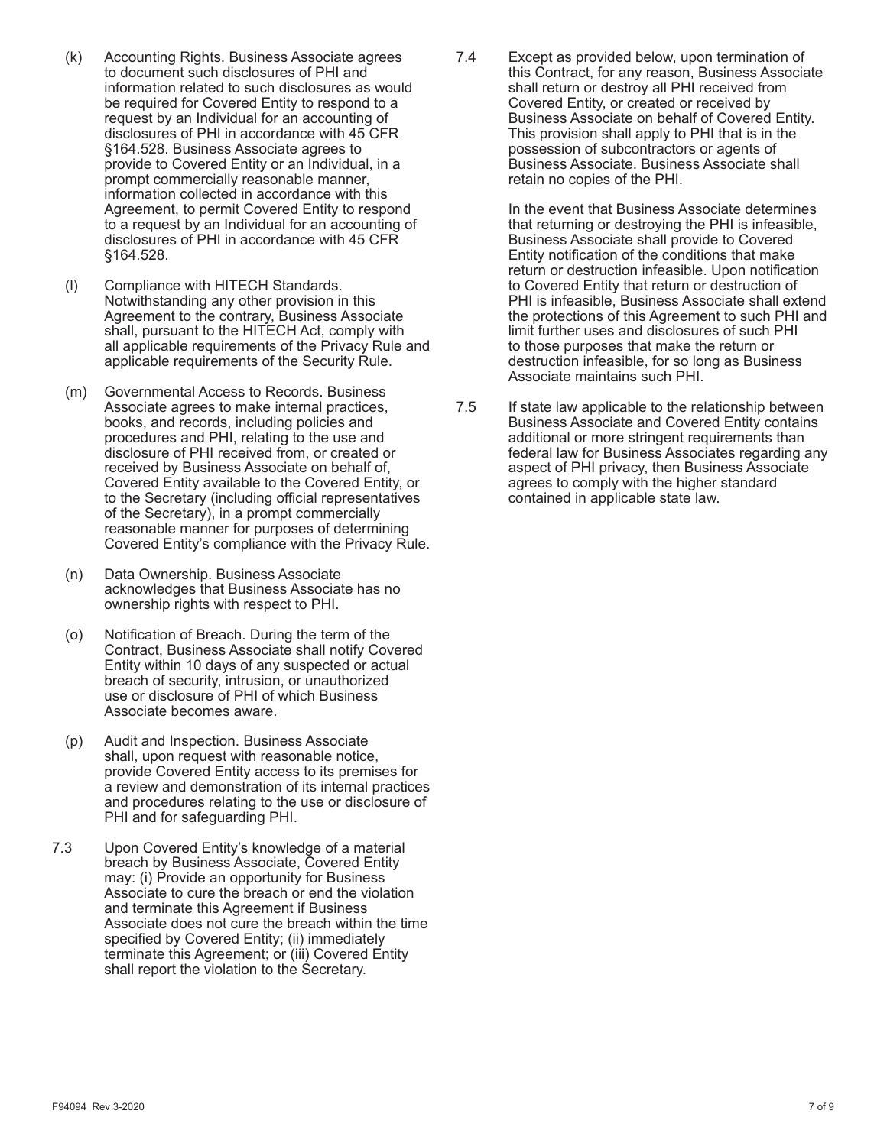- (k) Accounting Rights. Business Associate agrees to document such disclosures of PHI and information related to such disclosures as would be required for Covered Entity to respond to a request by an Individual for an accounting of disclosures of PHI in accordance with 45 CFR §164.528. Business Associate agrees to provide to Covered Entity or an Individual, in a prompt commercially reasonable manner, information collected in accordance with this Agreement, to permit Covered Entity to respond to a request by an Individual for an accounting of disclosures of PHI in accordance with 45 CFR §164.528.
- (l) Compliance with HITECH Standards. Notwithstanding any other provision in this Agreement to the contrary, Business Associate shall, pursuant to the HITECH Act, comply with all applicable requirements of the Privacy Rule and applicable requirements of the Security Rule.
- (m) Governmental Access to Records. Business Associate agrees to make internal practices, books, and records, including policies and procedures and PHI, relating to the use and disclosure of PHI received from, or created or received by Business Associate on behalf of, Covered Entity available to the Covered Entity, or to the Secretary (including official representatives of the Secretary), in a prompt commercially reasonable manner for purposes of determining Covered Entity's compliance with the Privacy Rule.
- (n) Data Ownership. Business Associate acknowledges that Business Associate has no ownership rights with respect to PHI.
- (o) Notification of Breach. During the term of the Contract, Business Associate shall notify Covered Entity within 10 days of any suspected or actual breach of security, intrusion, or unauthorized use or disclosure of PHI of which Business Associate becomes aware.
- (p) Audit and Inspection. Business Associate shall, upon request with reasonable notice, provide Covered Entity access to its premises for a review and demonstration of its internal practices and procedures relating to the use or disclosure of PHI and for safeguarding PHI.
- 7.3 Upon Covered Entity's knowledge of a material breach by Business Associate, Covered Entity may: (i) Provide an opportunity for Business Associate to cure the breach or end the violation and terminate this Agreement if Business Associate does not cure the breach within the time specified by Covered Entity; (ii) immediately terminate this Agreement; or (iii) Covered Entity shall report the violation to the Secretary.

7.4 Except as provided below, upon termination of this Contract, for any reason, Business Associate shall return or destroy all PHI received from Covered Entity, or created or received by Business Associate on behalf of Covered Entity. This provision shall apply to PHI that is in the possession of subcontractors or agents of Business Associate. Business Associate shall retain no copies of the PHI.

> In the event that Business Associate determines that returning or destroying the PHI is infeasible, Business Associate shall provide to Covered Entity notification of the conditions that make return or destruction infeasible. Upon notification to Covered Entity that return or destruction of PHI is infeasible, Business Associate shall extend the protections of this Agreement to such PHI and limit further uses and disclosures of such PHI to those purposes that make the return or destruction infeasible, for so long as Business Associate maintains such PHI.

7.5 If state law applicable to the relationship between Business Associate and Covered Entity contains additional or more stringent requirements than federal law for Business Associates regarding any aspect of PHI privacy, then Business Associate agrees to comply with the higher standard contained in applicable state law.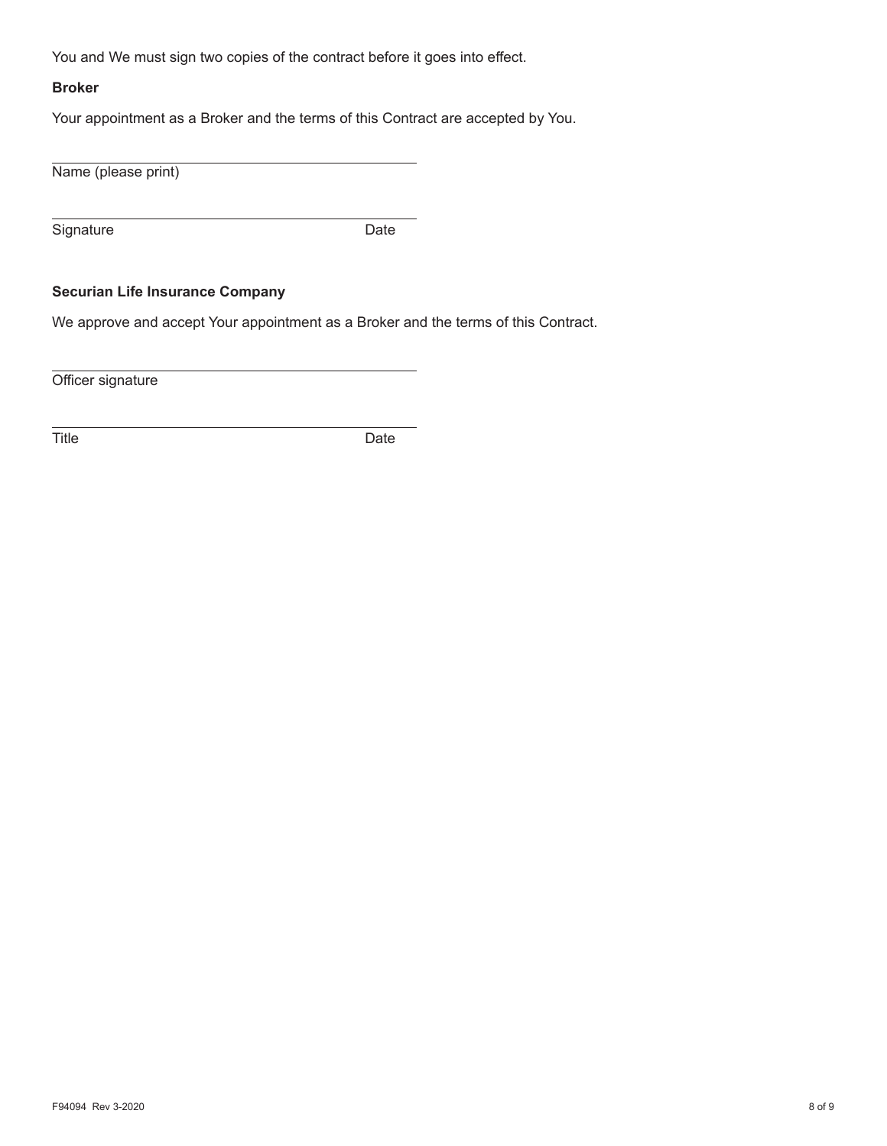You and We must sign two copies of the contract before it goes into effect.

## **Broker**

Your appointment as a Broker and the terms of this Contract are accepted by You.

Name (please print)

Signature Date

## **Securian Life Insurance Company**

We approve and accept Your appointment as a Broker and the terms of this Contract.

Officer signature

Title Date